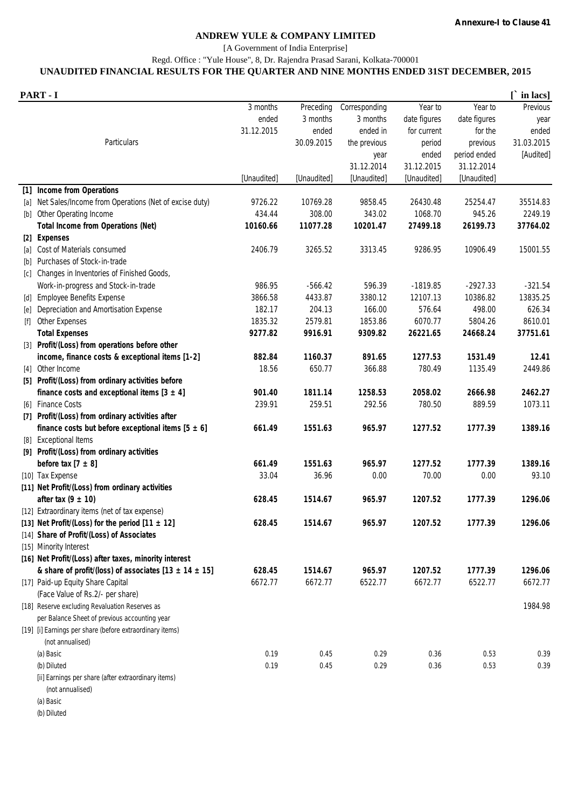## **ANDREW YULE & COMPANY LIMITED**

[A Government of India Enterprise]

## Regd. Office : "Yule House", 8, Dr. Rajendra Prasad Sarani, Kolkata-700001

## **UNAUDITED FINANCIAL RESULTS FOR THE QUARTER AND NINE MONTHS ENDED 31ST DECEMBER, 2015**

|       | PART-I                                                      |             |             |               |              |              | Γ`<br>in lacs] |
|-------|-------------------------------------------------------------|-------------|-------------|---------------|--------------|--------------|----------------|
|       |                                                             | 3 months    | Preceding   | Corresponding | Year to      | Year to      | Previous       |
|       |                                                             | ended       | 3 months    | 3 months      | date figures | date figures | year           |
|       |                                                             | 31.12.2015  | ended       | ended in      | for current  | for the      | ended          |
|       | Particulars                                                 |             | 30.09.2015  | the previous  | period       | previous     | 31.03.2015     |
|       |                                                             |             |             | year          | ended        | period ended | [Audited]      |
|       |                                                             |             |             | 31.12.2014    | 31.12.2015   | 31.12.2014   |                |
|       |                                                             | [Unaudited] | [Unaudited] | [Unaudited]   | [Unaudited]  | [Unaudited]  |                |
| $[1]$ | <b>Income from Operations</b>                               |             |             |               |              |              |                |
| [a]   | Net Sales/Income from Operations (Net of excise duty)       | 9726.22     | 10769.28    | 9858.45       | 26430.48     | 25254.47     | 35514.83       |
| [b]   | Other Operating Income                                      | 434.44      | 308.00      | 343.02        | 1068.70      | 945.26       | 2249.19        |
|       | <b>Total Income from Operations (Net)</b>                   | 10160.66    | 11077.28    | 10201.47      | 27499.18     | 26199.73     | 37764.02       |
|       | [2] Expenses                                                |             |             |               |              |              |                |
|       | [a] Cost of Materials consumed                              | 2406.79     | 3265.52     | 3313.45       | 9286.95      | 10906.49     | 15001.55       |
| [b]   | Purchases of Stock-in-trade                                 |             |             |               |              |              |                |
|       | [c] Changes in Inventories of Finished Goods,               |             |             |               |              |              |                |
|       | Work-in-progress and Stock-in-trade                         | 986.95      | $-566.42$   | 596.39        | $-1819.85$   | $-2927.33$   | $-321.54$      |
| [d]   | <b>Employee Benefits Expense</b>                            | 3866.58     | 4433.87     | 3380.12       | 12107.13     | 10386.82     | 13835.25       |
| [e]   | Depreciation and Amortisation Expense                       | 182.17      | 204.13      | 166.00        | 576.64       | 498.00       | 626.34         |
| [f]   | <b>Other Expenses</b>                                       | 1835.32     | 2579.81     | 1853.86       | 6070.77      | 5804.26      | 8610.01        |
|       | <b>Total Expenses</b>                                       | 9277.82     | 9916.91     | 9309.82       | 26221.65     | 24668.24     | 37751.61       |
|       | [3] Profit/(Loss) from operations before other              |             |             |               |              |              |                |
|       | income, finance costs & exceptional items [1-2]             | 882.84      | 1160.37     | 891.65        | 1277.53      | 1531.49      | 12.41          |
| $[4]$ | Other Income                                                | 18.56       | 650.77      | 366.88        | 780.49       | 1135.49      | 2449.86        |
| $[5]$ | Profit/(Loss) from ordinary activities before               |             |             |               |              |              |                |
|       | finance costs and exceptional items $[3 \pm 4]$             | 901.40      | 1811.14     | 1258.53       | 2058.02      | 2666.98      | 2462.27        |
|       | [6] Finance Costs                                           | 239.91      | 259.51      | 292.56        | 780.50       | 889.59       | 1073.11        |
|       | [7] Profit/(Loss) from ordinary activities after            |             |             |               |              |              |                |
|       | finance costs but before exceptional items $[5 \pm 6]$      | 661.49      | 1551.63     | 965.97        | 1277.52      | 1777.39      | 1389.16        |
|       | [8] Exceptional Items                                       |             |             |               |              |              |                |
|       | [9] Profit/(Loss) from ordinary activities                  |             |             |               |              |              |                |
|       | before tax $[7 \pm 8]$                                      | 661.49      | 1551.63     | 965.97        | 1277.52      | 1777.39      | 1389.16        |
|       | [10] Tax Expense                                            | 33.04       | 36.96       | 0.00          | 70.00        | 0.00         | 93.10          |
|       | [11] Net Profit/(Loss) from ordinary activities             |             |             |               |              |              |                |
|       | after tax $(9 \pm 10)$                                      | 628.45      | 1514.67     | 965.97        | 1207.52      | 1777.39      | 1296.06        |
|       | [12] Extraordinary items (net of tax expense)               |             |             |               |              |              |                |
|       | [13] Net Profit/(Loss) for the period $[11 \pm 12]$         | 628.45      | 1514.67     | 965.97        | 1207.52      | 1777.39      | 1296.06        |
|       | [14] Share of Profit/(Loss) of Associates                   |             |             |               |              |              |                |
|       | [15] Minority Interest                                      |             |             |               |              |              |                |
|       | [16] Net Profit/(Loss) after taxes, minority interest       |             |             |               |              |              |                |
|       | & share of profit/(loss) of associates $[13 \pm 14 \pm 15]$ | 628.45      | 1514.67     | 965.97        | 1207.52      | 1777.39      | 1296.06        |
|       | [17] Paid-up Equity Share Capital                           | 6672.77     | 6672.77     | 6522.77       | 6672.77      | 6522.77      | 6672.77        |
|       | (Face Value of Rs.2/- per share)                            |             |             |               |              |              |                |
|       | [18] Reserve excluding Revaluation Reserves as              |             |             |               |              |              | 1984.98        |
|       | per Balance Sheet of previous accounting year               |             |             |               |              |              |                |
|       | [19] [i] Earnings per share (before extraordinary items)    |             |             |               |              |              |                |
|       | (not annualised)                                            |             |             |               |              |              |                |
|       | (a) Basic                                                   | 0.19        | 0.45        | 0.29          | 0.36         | 0.53         | 0.39           |
|       | (b) Diluted                                                 | 0.19        | 0.45        | 0.29          | 0.36         | 0.53         | 0.39           |
|       | [ii] Earnings per share (after extraordinary items)         |             |             |               |              |              |                |
|       | (not annualised)                                            |             |             |               |              |              |                |

(a) Basic

(b) Diluted